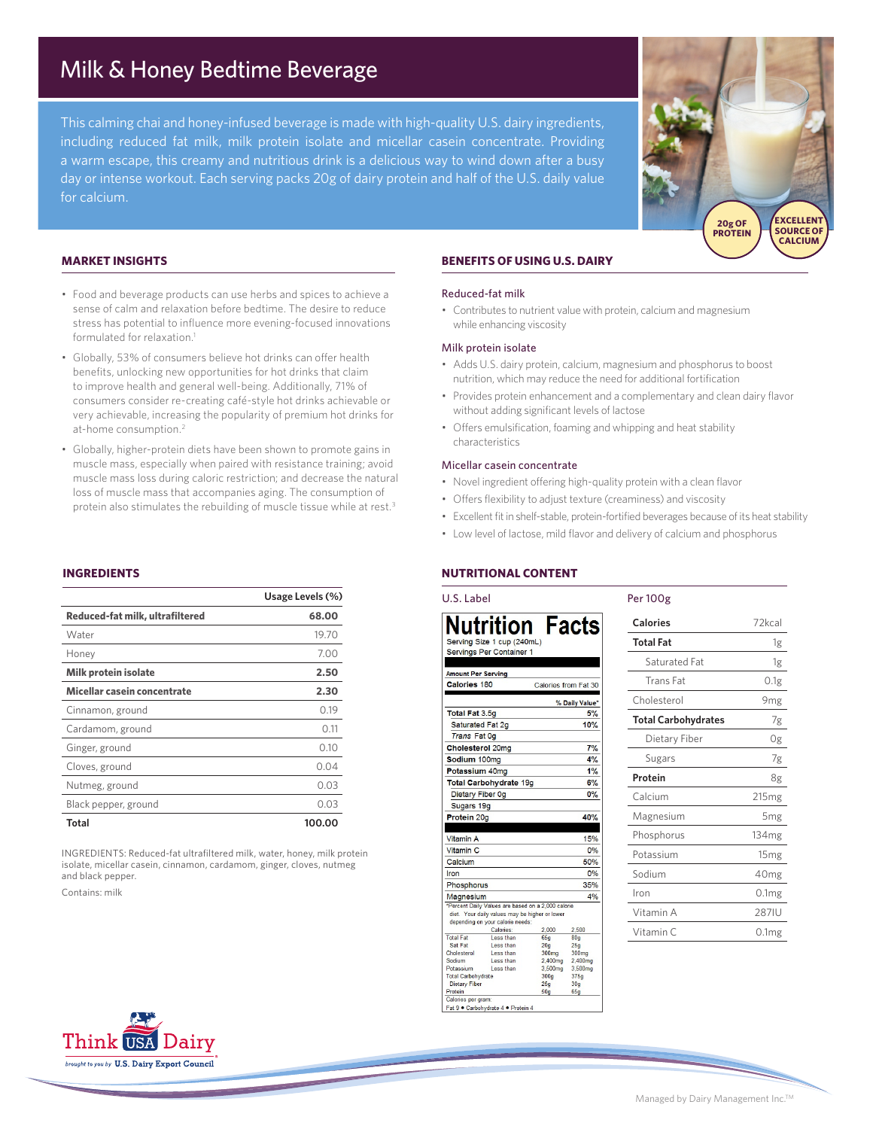# Milk & Honey Bedtime Beverage

This calming chai and honey-infused beverage is made with high-quality U.S. dairy ingredients, including reduced fat milk, milk protein isolate and micellar casein concentrate. Providing a warm escape, this creamy and nutritious drink is a delicious way to wind down after a busy day or intense workout. Each serving packs 20g of dairy protein and half of the U.S. daily value for calcium.



## **MARKET INSIGHTS**

- Food and beverage products can use herbs and spices to achieve a sense of calm and relaxation before bedtime. The desire to reduce stress has potential to influence more evening-focused innovations formulated for relaxation.<sup>1</sup>
- Globally, 53% of consumers believe hot drinks can offer health benefits, unlocking new opportunities for hot drinks that claim to improve health and general well-being. Additionally, 71% of consumers consider re-creating café-style hot drinks achievable or very achievable, increasing the popularity of premium hot drinks for at-home consumption.2
- Globally, higher-protein diets have been shown to promote gains in muscle mass, especially when paired with resistance training; avoid muscle mass loss during caloric restriction; and decrease the natural loss of muscle mass that accompanies aging. The consumption of protein also stimulates the rebuilding of muscle tissue while at rest.<sup>3</sup>

### **INGREDIENTS**

|                                 | Usage Levels (%) |
|---------------------------------|------------------|
| Reduced-fat milk, ultrafiltered | 68,00            |
| Water                           | 19.70            |
| Honey                           | 7.00             |
| <b>Milk protein isolate</b>     | 2.50             |
| Micellar casein concentrate     | 2.30             |
| Cinnamon, ground                | 0.19             |
| Cardamom, ground                | 0.11             |
| Ginger, ground                  | 0.10             |
| Cloves, ground                  | 0.04             |
| Nutmeg, ground                  | 0.03             |
| Black pepper, ground            | 0.03             |
| Total                           | 100.00           |

INGREDIENTS: Reduced-fat ultrafiltered milk, water, honey, milk protein isolate, micellar casein, cinnamon, cardamom, ginger, cloves, nutmeg and black pepper.

Contains: milk

# **BENEFITS OF USING U.S. DAIRY**

#### Reduced-fat milk

• Contributes to nutrient value with protein, calcium and magnesium while enhancing viscosity

#### Milk protein isolate

- Adds U.S. dairy protein, calcium, magnesium and phosphorus to boost nutrition, which may reduce the need for additional fortification
- Provides protein enhancement and a complementary and clean dairy flavor without adding significant levels of lactose
- Offers emulsification, foaming and whipping and heat stability characteristics

### Micellar casein concentrate

- Novel ingredient offering high-quality protein with a clean flavor
- Offers flexibility to adjust texture (creaminess) and viscosity
- Excellent fit in shelf-stable, protein-fortified beverages because of its heat stability

Per 100g

• Low level of lactose, mild flavor and delivery of calcium and phosphorus

# **NUTRITIONAL CONTENT**

#### **U.S. Label Nutrition Facts** Serving Size 1 cup (240mL) Servings Per Container 1 **Amount Per Serving** Calories 180 Calories from Fat 30 % Daily Value Total Fat 3.5g  $5%$ 10% Saturated Fat 2g Trans Fat Og Cholesterol 20mg  $7%$ Sodium 100mg  $4%$ Potassium 40mg  $1%$ Total Carbohydrate 19g  $6%$ Dietary Fiber 0g  $0\%$ Sugars 19g Protein 20g 40% Vitamin A  $15%$ Vitamin<sub>C</sub> 0% Calcium 50% 0% Iron Phosphorus 35% Magnesium 4% Magnesium<br>"Percent Daily Values are based on a 2,000 calorie<br>diet. Your daily values may be higher or lower<br>depending on your calorie needs: Calories 2.500 **Total Fat** Less tha Sat Fat<br>Cholesterol Less than  $\frac{20g}{300mg}$  $\frac{25g}{300mg}$ Less than Sodium Less than  $2,400mg$  $2,400mg$ Potassium Less than 3,500mg 3,500mg **Total Carbohydrate** 300g 375g Dietary Fiber  $30<sub>0</sub>$ Dietary Fiber<br>Protein<br>Calories per gran<br>Fat 9 ● Carbobyr Fat 9 · Carbohydrate 4 · Protein

| Calories                   | 72kcal            |
|----------------------------|-------------------|
| <b>Total Fat</b>           | 1g                |
| Saturated Fat              | 1g                |
| <b>Trans Fat</b>           | 0.1g              |
| Cholesterol                | 9 <sub>mg</sub>   |
| <b>Total Carbohydrates</b> | 7g                |
| Dietary Fiber              | 0g                |
| Sugars                     | 7g                |
| Protein                    | 8g                |
| Calcium                    | 215 <sub>mg</sub> |
| Magnesium                  | 5 <sub>mg</sub>   |
| Phosphorus                 | 134 <sub>mg</sub> |
| Potassium                  | 15 <sub>mg</sub>  |
| Sodium                     | 40 <sub>mg</sub>  |
| Iron                       | 0.1mg             |
| Vitamin A                  | 287IU             |
| Vitamin C                  | 0.1 <sub>mg</sub> |